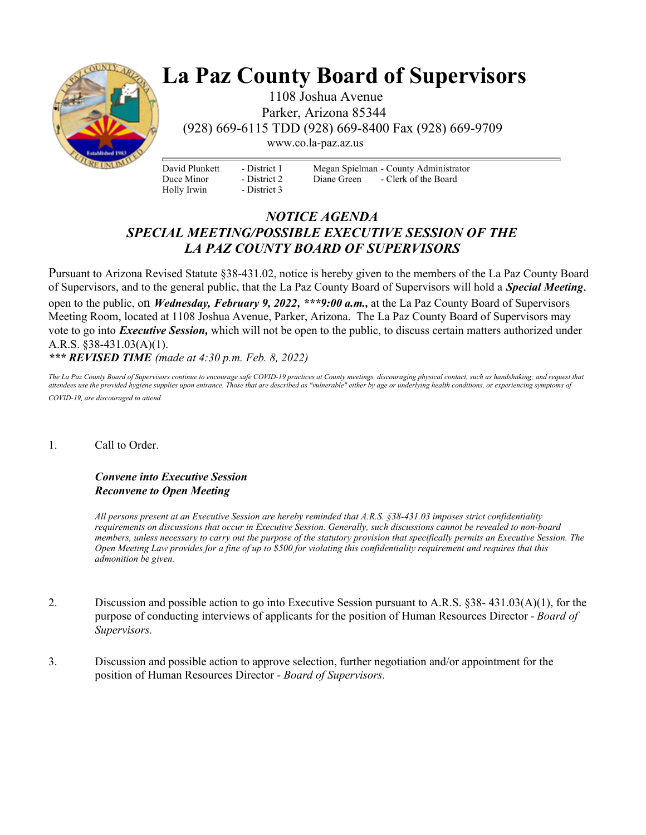

## **La Paz County Board of Supervisors**

 1108 Joshua Avenue Parker, Arizona 85344 (928) 669-6115 TDD (928) 669-8400 Fax (928) 669-9709

www.co.la-paz.az.us

David Plunkett Duce Minor Holly Irwin

- District 1 - District 2 - District 3 Megan Spielman - County Administrator Diane Green - Clerk of the Board

## *NOTICE AGENDA SPECIAL MEETING/POSSIBLE EXECUTIVE SESSION OF THE LA PAZ COUNTY BOARD OF SUPERVISORS*

Pursuant to Arizona Revised Statute §38-431.02, notice is hereby given to the members of the La Paz County Board of Supervisors, and to the general public, that the La Paz County Board of Supervisors will hold a *Special Meeting*, open to the public, on *Wednesday, February 9, 2022, \*\*\*9:00 a.m.,* at the La Paz County Board of Supervisors Meeting Room, located at 1108 Joshua Avenue, Parker, Arizona. The La Paz County Board of Supervisors may vote to go into *Executive Session,* which will not be open to the public, to discuss certain matters authorized under A.R.S. §38-431.03(A)(1).

*\*\*\* REVISED TIME (made at 4:30 p.m. Feb. 8, 2022)*

*The La Paz County Board of Supervisors continue to encourage safe COVID-19 practices at County meetings, discouraging physical contact, such as handshaking; and request that attendees use the provided hygiene supplies upon entrance. Those that are described as "vulnerable" either by age or underlying health conditions, or experiencing symptoms of COVID-19, are discouraged to attend.* 

## 1. Call to Order.

## *Convene into Executive Session Reconvene to Open Meeting*

*All persons present at an Executive Session are hereby reminded that A.R.S. §38-431.03 imposes strict confidentiality requirements on discussions that occur in Executive Session. Generally, such discussions cannot be revealed to non-board members, unless necessary to carry out the purpose of the statutory provision that specifically permits an Executive Session. The Open Meeting Law provides for a fine of up to \$500 for violating this confidentiality requirement and requires that this admonition be given.*

- 2. Discussion and possible action to go into Executive Session pursuant to A.R.S. §38- 431.03(A)(1), for the purpose of conducting interviews of applicants for the position of Human Resources Director - *Board of Supervisors.*
- 3. Discussion and possible action to approve selection, further negotiation and/or appointment for the position of Human Resources Director - *Board of Supervisors.*